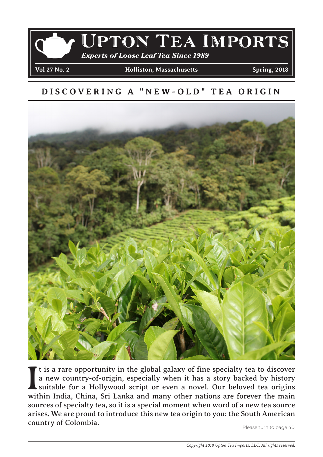

#### **DISCOVERING A "NEW-OLD" TEA ORIGIN**



It is a rare opportunity in the global galaxy of fine specialty tea to discover a new country-of-origin, especially when it has a story backed by history suitable for a Hollywood script or even a novel. Our beloved tea ori If t is a rare opportunity in the global galaxy of fine specialty tea to discover a new country-of-origin, especially when it has a story backed by history suitable for a Hollywood script or even a novel. Our beloved tea origins sources of specialty tea, so it is a special moment when word of a new tea source arises. We are proud to introduce this new tea origin to you: the South American **country of Colombia.** Please turn to page 40.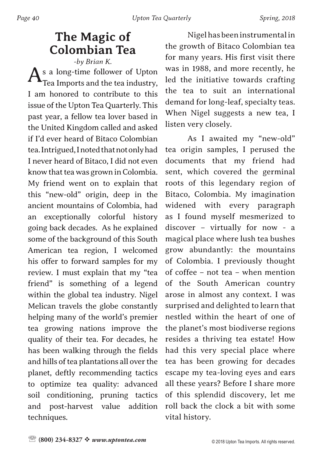# **The Magic of Colombian Tea**

*-by Brian K.*  s a long-time follower of Upton Tea Imports and the tea industry, I am honored to contribute to this issue of the Upton Tea Quarterly. This past year, a fellow tea lover based in the United Kingdom called and asked if I'd ever heard of Bitaco Colombian tea. Intrigued, I noted that not only had I never heard of Bitaco, I did not even know that tea was grown in Colombia. My friend went on to explain that this "new-old" origin, deep in the ancient mountains of Colombia, had an exceptionally colorful history going back decades. As he explained some of the background of this South American tea region, I welcomed his offer to forward samples for my review. I must explain that my "tea friend" is something of a legend within the global tea industry. Nigel Melican travels the globe constantly helping many of the world's premier tea growing nations improve the quality of their tea. For decades, he has been walking through the fields and hills of tea plantations all over the planet, deftly recommending tactics to optimize tea quality: advanced soil conditioning, pruning tactics and post-harvest value addition techniques.

Nigel has been instrumental in the growth of Bitaco Colombian tea for many years. His first visit there was in 1988, and more recently, he led the initiative towards crafting the tea to suit an international demand for long-leaf, specialty teas. When Nigel suggests a new tea, I listen very closely.

As I awaited my "new-old" tea origin samples, I perused the documents that my friend had sent, which covered the germinal roots of this legendary region of Bitaco, Colombia. My imagination widened with every paragraph as I found myself mesmerized to discover – virtually for now - a magical place where lush tea bushes grow abundantly: the mountains of Colombia. I previously thought of coffee – not tea – when mention of the South American country arose in almost any context. I was surprised and delighted to learn that nestled within the heart of one of the planet's most biodiverse regions resides a thriving tea estate! How had this very special place where tea has been growing for decades escape my tea-loving eyes and ears all these years? Before I share more of this splendid discovery, let me roll back the clock a bit with some vital history.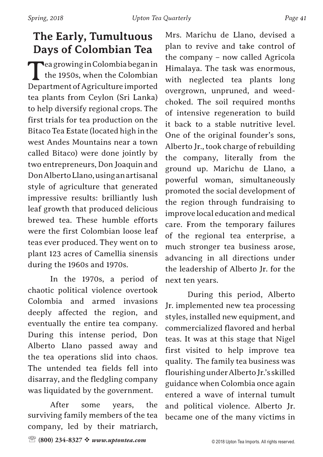## **The Early, Tumultuous Days of Colombian Tea**

**T**ea growing in Colombia began in the 1950s, when the Colombian Department of Agriculture imported tea plants from Ceylon (Sri Lanka) to help diversify regional crops. The first trials for tea production on the Bitaco Tea Estate (located high in the west Andes Mountains near a town called Bitaco) were done jointly by two entrepreneurs, Don Joaquin and Don Alberto Llano, using an artisanal style of agriculture that generated impressive results: brilliantly lush leaf growth that produced delicious brewed tea. These humble efforts were the first Colombian loose leaf teas ever produced. They went on to plant 123 acres of Camellia sinensis during the 1960s and 1970s.

In the 1970s, a period of chaotic political violence overtook Colombia and armed invasions deeply affected the region, and eventually the entire tea company. During this intense period, Don Alberto Llano passed away and the tea operations slid into chaos. The untended tea fields fell into disarray, and the fledgling company was liquidated by the government.

After some years, the surviving family members of the tea company, led by their matriarch,

Mrs. Marichu de Llano, devised a plan to revive and take control of the company – now called Agricola Himalaya. The task was enormous, with neglected tea plants long overgrown, unpruned, and weedchoked. The soil required months of intensive regeneration to build it back to a stable nutritive level. One of the original founder's sons, Alberto Jr., took charge of rebuilding the company, literally from the ground up. Marichu de Llano, a powerful woman, simultaneously promoted the social development of the region through fundraising to improve local education and medical care. From the temporary failures of the regional tea enterprise, a much stronger tea business arose, advancing in all directions under the leadership of Alberto Jr. for the next ten years.

During this period, Alberto Jr. implemented new tea processing styles, installed new equipment, and commercialized flavored and herbal teas. It was at this stage that Nigel first visited to help improve tea quality. The family tea business was flourishing under Alberto Jr.'s skilled guidance when Colombia once again entered a wave of internal tumult and political violence. Alberto Jr. became one of the many victims in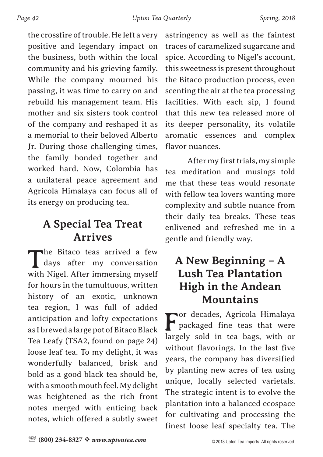the crossfire of trouble. He left a very positive and legendary impact on the business, both within the local community and his grieving family. While the company mourned his passing, it was time to carry on and rebuild his management team. His mother and six sisters took control of the company and reshaped it as a memorial to their beloved Alberto Jr. During those challenging times, the family bonded together and worked hard. Now, Colombia has a unilateral peace agreement and Agricola Himalaya can focus all of its energy on producing tea.

### **A Special Tea Treat Arrives**

The Bitaco teas arrived a few<br>days after my conversation days after my conversation with Nigel. After immersing myself for hours in the tumultuous, written history of an exotic, unknown tea region, I was full of added anticipation and lofty expectations as I brewed a large pot of Bitaco Black Tea Leafy (TSA2, found on page 24) loose leaf tea. To my delight, it was wonderfully balanced, brisk and bold as a good black tea should be, with a smooth mouth feel. My delight was heightened as the rich front notes merged with enticing back notes, which offered a subtly sweet

astringency as well as the faintest traces of caramelized sugarcane and spice. According to Nigel's account, this sweetness is present throughout the Bitaco production process, even scenting the air at the tea processing facilities. With each sip, I found that this new tea released more of its deeper personality, its volatile aromatic essences and complex flavor nuances.

After my first trials, my simple tea meditation and musings told me that these teas would resonate with fellow tea lovers wanting more complexity and subtle nuance from their daily tea breaks. These teas enlivened and refreshed me in a gentle and friendly way.

### **A New Beginning – A Lush Tea Plantation High in the Andean Mountains**

For decades, Agricola Himalaya packaged fine teas that were largely sold in tea bags, with or without flavorings. In the last five years, the company has diversified by planting new acres of tea using unique, locally selected varietals. The strategic intent is to evolve the plantation into a balanced ecospace for cultivating and processing the finest loose leaf specialty tea. The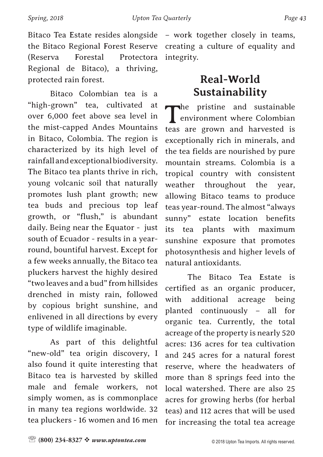Bitaco Colombian tea is a "high-grown" tea, cultivated at over 6,000 feet above sea level in the mist-capped Andes Mountains in Bitaco, Colombia. The region is characterized by its high level of rainfall and exceptional biodiversity. The Bitaco tea plants thrive in rich, young volcanic soil that naturally promotes lush plant growth; new tea buds and precious top leaf growth, or "flush," is abundant daily. Being near the Equator - just south of Ecuador - results in a yearround, bountiful harvest. Except for a few weeks annually, the Bitaco tea pluckers harvest the highly desired "two leaves and a bud" from hillsides drenched in misty rain, followed by copious bright sunshine, and enlivened in all directions by every type of wildlife imaginable.

As part of this delightful "new-old" tea origin discovery, I also found it quite interesting that Bitaco tea is harvested by skilled male and female workers, not simply women, as is commonplace in many tea regions worldwide. 32 tea pluckers - 16 women and 16 men

– work together closely in teams, creating a culture of equality and integrity.

# **Real-World Sustainability**

The pristine and sustainable<br>environment where Colombian environment where Colombian teas are grown and harvested is exceptionally rich in minerals, and the tea fields are nourished by pure mountain streams. Colombia is a tropical country with consistent weather throughout the year, allowing Bitaco teams to produce teas year-round. The almost "always sunny" estate location benefits its tea plants with maximum sunshine exposure that promotes photosynthesis and higher levels of natural antioxidants.

The Bitaco Tea Estate is certified as an organic producer, with additional acreage being planted continuously – all for organic tea. Currently, the total acreage of the property is nearly 520 acres: 136 acres for tea cultivation and 245 acres for a natural forest reserve, where the headwaters of more than 8 springs feed into the local watershed. There are also 25 acres for growing herbs (for herbal teas) and 112 acres that will be used for increasing the total tea acreage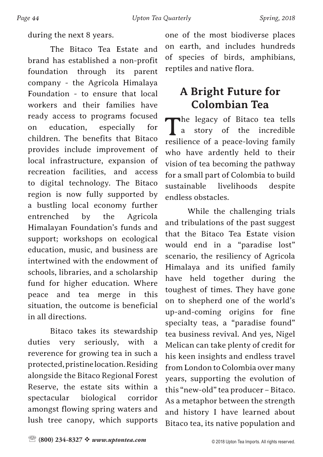during the next 8 years.

The Bitaco Tea Estate and brand has established a non-profit foundation through its parent company - the Agricola Himalaya Foundation - to ensure that local workers and their families have ready access to programs focused on education, especially for children. The benefits that Bitaco provides include improvement of local infrastructure, expansion of recreation facilities, and access to digital technology. The Bitaco region is now fully supported by a bustling local economy further entrenched by the Agricola Himalayan Foundation's funds and support; workshops on ecological education, music, and business are intertwined with the endowment of schools, libraries, and a scholarship fund for higher education. Where peace and tea merge in this situation, the outcome is beneficial in all directions.

Bitaco takes its stewardship duties very seriously, with a reverence for growing tea in such a protected, pristine location. Residing alongside the Bitaco Regional Forest Reserve, the estate sits within a spectacular biological corridor amongst flowing spring waters and lush tree canopy, which supports

one of the most biodiverse places on earth, and includes hundreds of species of birds, amphibians, reptiles and native flora.

# **A Bright Future for Colombian Tea**

The legacy of Bitaco tea tells<br>a story of the incredible a story of the incredible resilience of a peace-loving family who have ardently held to their vision of tea becoming the pathway for a small part of Colombia to build sustainable livelihoods despite endless obstacles.

While the challenging trials and tribulations of the past suggest that the Bitaco Tea Estate vision would end in a "paradise lost" scenario, the resiliency of Agricola Himalaya and its unified family have held together during the toughest of times. They have gone on to shepherd one of the world's up-and-coming origins for fine specialty teas, a "paradise found" tea business revival. And yes, Nigel Melican can take plenty of credit for his keen insights and endless travel from London to Colombia over many years, supporting the evolution of this "new-old" tea producer – Bitaco. As a metaphor between the strength and history I have learned about Bitaco tea, its native population and